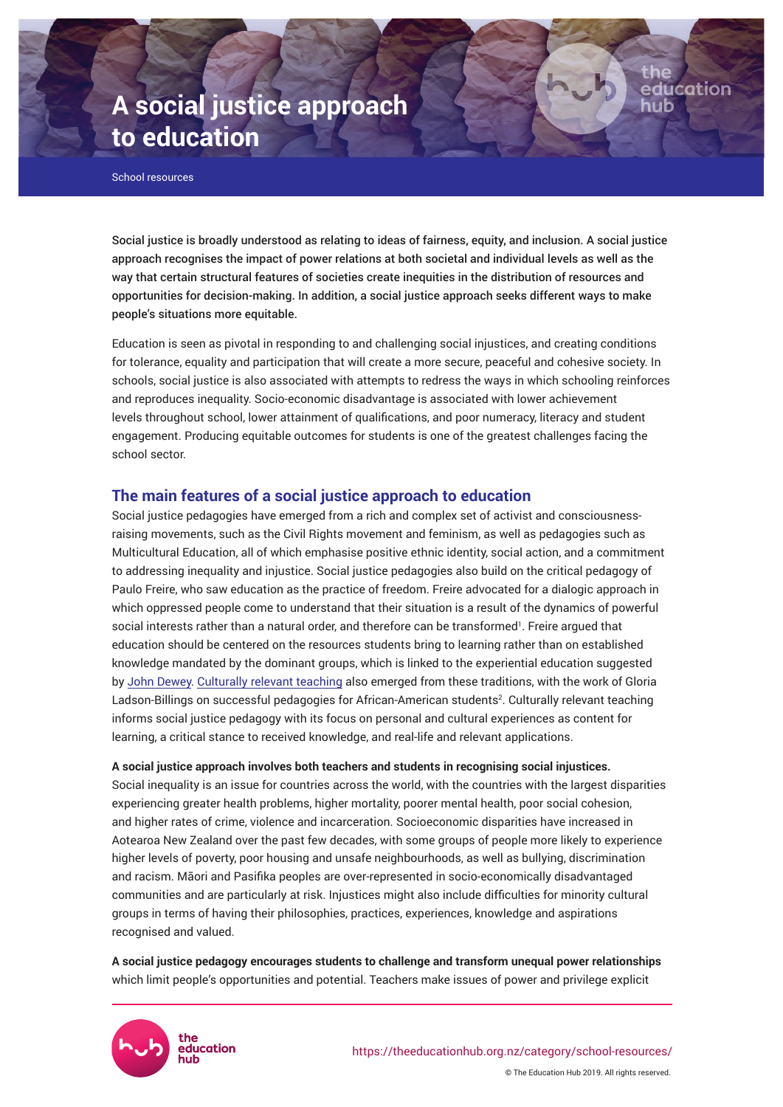# **A social justice approach to education**

School resources

Social justice is broadly understood as relating to ideas of fairness, equity, and inclusion. A social justice approach recognises the impact of power relations at both societal and individual levels as well as the way that certain structural features of societies create inequities in the distribution of resources and opportunities for decision-making. In addition, a social justice approach seeks different ways to make people's situations more equitable.

education

Education is seen as pivotal in responding to and challenging social injustices, and creating conditions for tolerance, equality and participation that will create a more secure, peaceful and cohesive society. In schools, social justice is also associated with attempts to redress the ways in which schooling reinforces and reproduces inequality. Socio-economic disadvantage is associated with lower achievement levels throughout school, lower attainment of qualifications, and poor numeracy, literacy and student engagement. Producing equitable outcomes for students is one of the greatest challenges facing the school sector.

# **The main features of a social justice approach to education**

Social justice pedagogies have emerged from a rich and complex set of activist and consciousnessraising movements, such as the Civil Rights movement and feminism, as well as pedagogies such as Multicultural Education, all of which emphasise positive ethnic identity, social action, and a commitment to addressing inequality and injustice. Social justice pedagogies also build on the critical pedagogy of Paulo Freire, who saw education as the practice of freedom. Freire advocated for a dialogic approach in which oppressed people come to understand that their situation is a result of the dynamics of powerful social interests rather than a natural order, and therefore can be transformed'. Freire argued that education should be centered on the resources students bring to learning rather than on established knowledge mandated by the dominant groups, which is linked to the experiential education suggested by [John Dewey](https://theeducationhub.org.nz/deweys-educational-philosophy/). [Culturally relevant teaching](https://theeducationhub.org.nz/what-is-culturally-responsive-teaching/) also emerged from these traditions, with the work of Gloria Ladson-Billings on successful pedagogies for African-American students<sup>2</sup>. Culturally relevant teaching informs social justice pedagogy with its focus on personal and cultural experiences as content for learning, a critical stance to received knowledge, and real-life and relevant applications.

#### **A social justice approach involves both teachers and students in recognising social injustices.**

Social inequality is an issue for countries across the world, with the countries with the largest disparities experiencing greater health problems, higher mortality, poorer mental health, poor social cohesion, and higher rates of crime, violence and incarceration. Socioeconomic disparities have increased in Aotearoa New Zealand over the past few decades, with some groups of people more likely to experience higher levels of poverty, poor housing and unsafe neighbourhoods, as well as bullying, discrimination and racism. Māori and Pasifika peoples are over-represented in socio-economically disadvantaged communities and are particularly at risk. Injustices might also include difficulties for minority cultural groups in terms of having their philosophies, practices, experiences, knowledge and aspirations recognised and valued.

**A social justice pedagogy encourages students to challenge and transform unequal power relationships** which limit people's opportunities and potential. Teachers make issues of power and privilege explicit

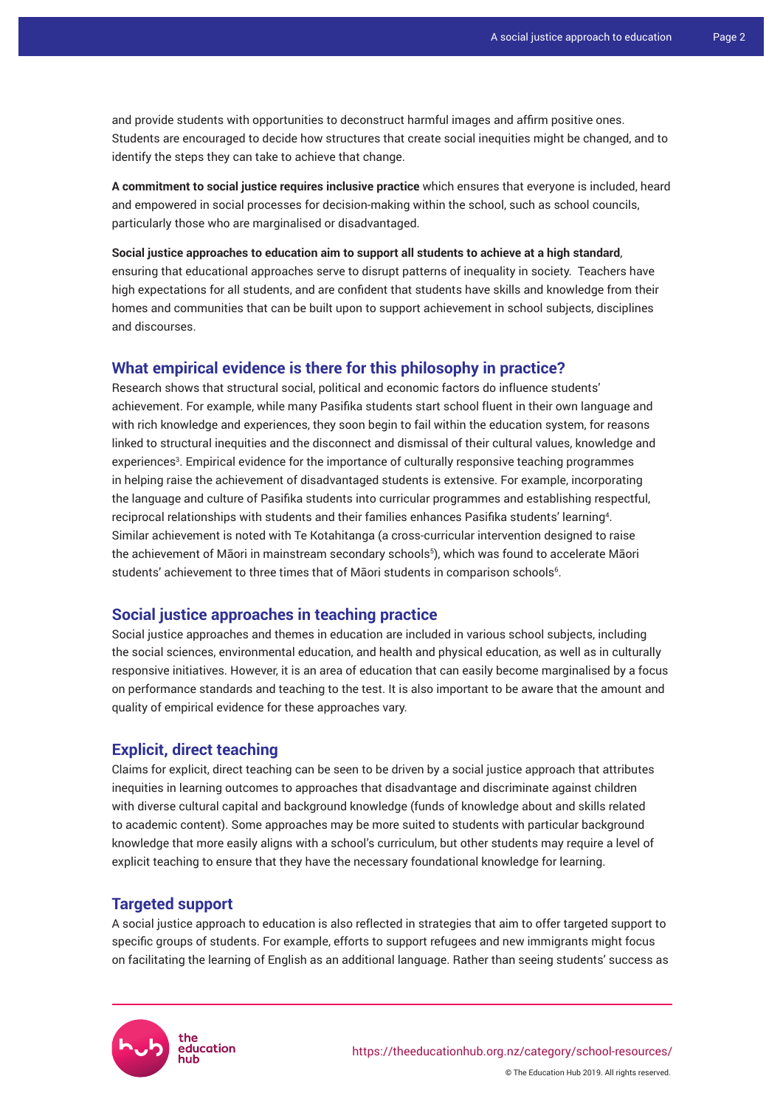and provide students with opportunities to deconstruct harmful images and affirm positive ones. Students are encouraged to decide how structures that create social inequities might be changed, and to identify the steps they can take to achieve that change.

**A commitment to social justice requires inclusive practice** which ensures that everyone is included, heard and empowered in social processes for decision-making within the school, such as school councils, particularly those who are marginalised or disadvantaged.

**Social justice approaches to education aim to support all students to achieve at a high standard**, ensuring that educational approaches serve to disrupt patterns of inequality in society. Teachers have high expectations for all students, and are confident that students have skills and knowledge from their homes and communities that can be built upon to support achievement in school subjects, disciplines and discourses.

#### **What empirical evidence is there for this philosophy in practice?**

Research shows that structural social, political and economic factors do influence students' achievement. For example, while many Pasifika students start school fluent in their own language and with rich knowledge and experiences, they soon begin to fail within the education system, for reasons linked to structural inequities and the disconnect and dismissal of their cultural values, knowledge and experiences<sup>3</sup>. Empirical evidence for the importance of culturally responsive teaching programmes in helping raise the achievement of disadvantaged students is extensive. For example, incorporating the language and culture of Pasifika students into curricular programmes and establishing respectful, reciprocal relationships with students and their families enhances Pasifika students' learning<sup>4</sup> . Similar achievement is noted with Te Kotahitanga (a cross-curricular intervention designed to raise the achievement of Māori in mainstream secondary schools<sup>5</sup> ), which was found to accelerate Māori students' achievement to three times that of Māori students in comparison schools<sup>6</sup>.

# **Social justice approaches in teaching practice**

Social justice approaches and themes in education are included in various school subjects, including the social sciences, environmental education, and health and physical education, as well as in culturally responsive initiatives. However, it is an area of education that can easily become marginalised by a focus on performance standards and teaching to the test. It is also important to be aware that the amount and quality of empirical evidence for these approaches vary.

# **Explicit, direct teaching**

Claims for explicit, direct teaching can be seen to be driven by a social justice approach that attributes inequities in learning outcomes to approaches that disadvantage and discriminate against children with diverse cultural capital and background knowledge (funds of knowledge about and skills related to academic content). Some approaches may be more suited to students with particular background knowledge that more easily aligns with a school's curriculum, but other students may require a level of explicit teaching to ensure that they have the necessary foundational knowledge for learning.

# **Targeted support**

A social justice approach to education is also reflected in strategies that aim to offer targeted support to specific groups of students. For example, efforts to support refugees and new immigrants might focus on facilitating the learning of English as an additional language. Rather than seeing students' success as

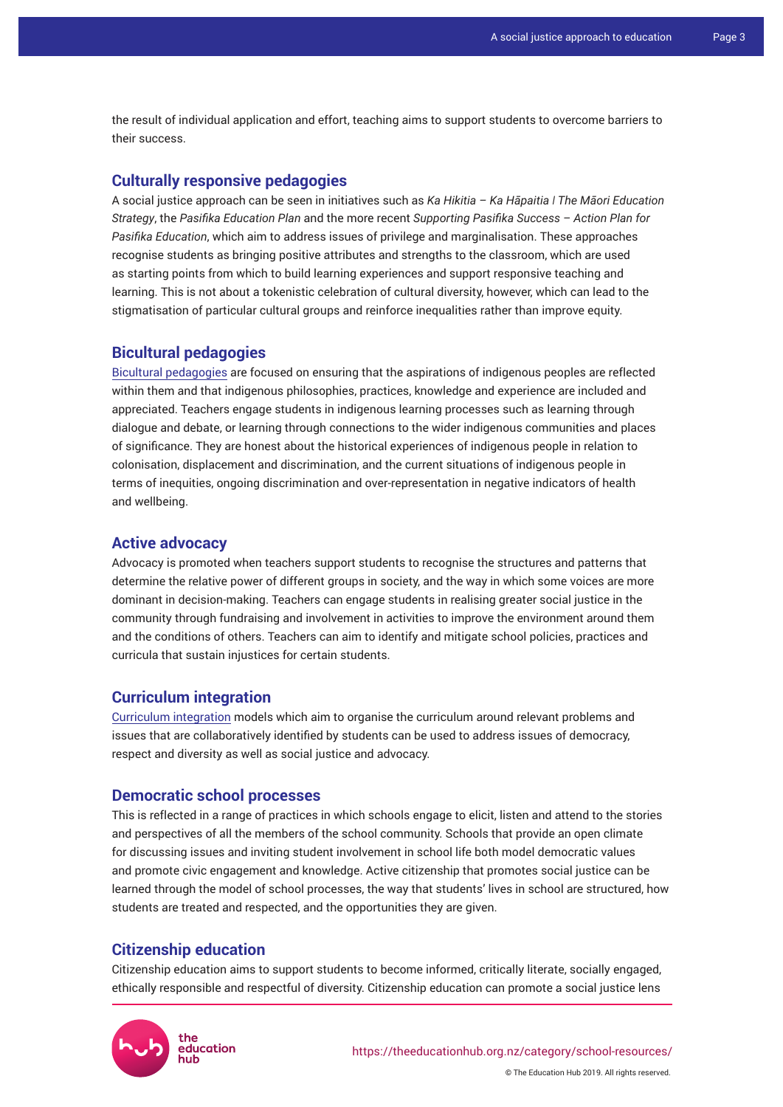the result of individual application and effort, teaching aims to support students to overcome barriers to their success.

#### **Culturally responsive pedagogies**

A social justice approach can be seen in initiatives such as *Ka Hikitia – Ka Hāpaitia ǀ The Māori Education Strategy*, the *Pasifika Education Plan* and the more recent *Supporting Pasifika Success – Action Plan for Pasifika Education*, which aim to address issues of privilege and marginalisation. These approaches recognise students as bringing positive attributes and strengths to the classroom, which are used as starting points from which to build learning experiences and support responsive teaching and learning. This is not about a tokenistic celebration of cultural diversity, however, which can lead to the stigmatisation of particular cultural groups and reinforce inequalities rather than improve equity.

#### **Bicultural pedagogies**

[Bicultural pedagogies](https://theeducationhub.org.nz/seven-principles-to-effectively-support-maori-students-as-maori/) are focused on ensuring that the aspirations of indigenous peoples are reflected within them and that indigenous philosophies, practices, knowledge and experience are included and appreciated. Teachers engage students in indigenous learning processes such as learning through dialogue and debate, or learning through connections to the wider indigenous communities and places of significance. They are honest about the historical experiences of indigenous people in relation to colonisation, displacement and discrimination, and the current situations of indigenous people in terms of inequities, ongoing discrimination and over-representation in negative indicators of health and wellbeing.

# **Active advocacy**

Advocacy is promoted when teachers support students to recognise the structures and patterns that determine the relative power of different groups in society, and the way in which some voices are more dominant in decision-making. Teachers can engage students in realising greater social justice in the community through fundraising and involvement in activities to improve the environment around them and the conditions of others. Teachers can aim to identify and mitigate school policies, practices and curricula that sustain injustices for certain students.

#### **Curriculum integration**

[Curriculum integration](https://theeducationhub.org.nz/an-introduction-to-curriculum-integration/) models which aim to organise the curriculum around relevant problems and issues that are collaboratively identified by students can be used to address issues of democracy, respect and diversity as well as social justice and advocacy.

#### **Democratic school processes**

This is reflected in a range of practices in which schools engage to elicit, listen and attend to the stories and perspectives of all the members of the school community. Schools that provide an open climate for discussing issues and inviting student involvement in school life both model democratic values and promote civic engagement and knowledge. Active citizenship that promotes social justice can be learned through the model of school processes, the way that students' lives in school are structured, how students are treated and respected, and the opportunities they are given.

#### **Citizenship education**

Citizenship education aims to support students to become informed, critically literate, socially engaged, ethically responsible and respectful of diversity. Citizenship education can promote a social justice lens